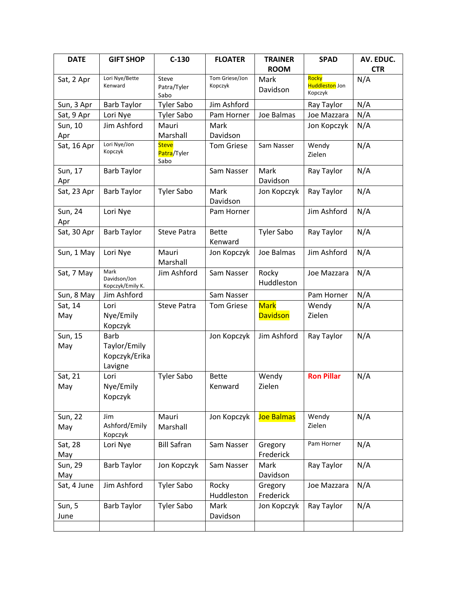| <b>DATE</b>    | <b>GIFT SHOP</b>                                        | $C-130$                             | <b>FLOATER</b>            | <b>TRAINER</b>                 | <b>SPAD</b>                               | AV. EDUC.  |
|----------------|---------------------------------------------------------|-------------------------------------|---------------------------|--------------------------------|-------------------------------------------|------------|
|                |                                                         |                                     |                           | <b>ROOM</b>                    |                                           | <b>CTR</b> |
| Sat, 2 Apr     | Lori Nye/Bette<br>Kenward                               | Steve<br>Patra/Tyler<br>Sabo        | Tom Griese/Jon<br>Kopczyk | Mark<br>Davidson               | Rocky<br><b>Huddleston</b> Jon<br>Kopczyk | N/A        |
| Sun, 3 Apr     | <b>Barb Taylor</b>                                      | <b>Tyler Sabo</b>                   | Jim Ashford               |                                | Ray Taylor                                | N/A        |
| Sat, 9 Apr     | Lori Nye                                                | <b>Tyler Sabo</b>                   | Pam Horner                | Joe Balmas                     | Joe Mazzara                               | N/A        |
| Sun, 10<br>Apr | Jim Ashford                                             | Mauri<br>Marshall                   | Mark<br>Davidson          |                                | Jon Kopczyk                               | N/A        |
| Sat, 16 Apr    | Lori Nye/Jon<br>Kopczyk                                 | <b>Steve</b><br>Patra/Tyler<br>Sabo | <b>Tom Griese</b>         | Sam Nasser                     | Wendy<br>Zielen                           | N/A        |
| Sun, 17<br>Apr | <b>Barb Taylor</b>                                      |                                     | Sam Nasser                | Mark<br>Davidson               | Ray Taylor                                | N/A        |
| Sat, 23 Apr    | <b>Barb Taylor</b>                                      | <b>Tyler Sabo</b>                   | Mark<br>Davidson          | Jon Kopczyk                    | Ray Taylor                                | N/A        |
| Sun, 24<br>Apr | Lori Nye                                                |                                     | Pam Horner                |                                | Jim Ashford                               | N/A        |
| Sat, 30 Apr    | <b>Barb Taylor</b>                                      | <b>Steve Patra</b>                  | <b>Bette</b><br>Kenward   | <b>Tyler Sabo</b>              | Ray Taylor                                | N/A        |
| Sun, 1 May     | Lori Nye                                                | Mauri<br>Marshall                   | Jon Kopczyk               | Joe Balmas                     | Jim Ashford                               | N/A        |
| Sat, 7 May     | Mark<br>Davidson/Jon<br>Kopczyk/Emily K.                | Jim Ashford                         | Sam Nasser                | Rocky<br>Huddleston            | Joe Mazzara                               | N/A        |
| Sun, 8 May     | Jim Ashford                                             |                                     | Sam Nasser                |                                | Pam Horner                                | N/A        |
| Sat, 14<br>May | Lori<br>Nye/Emily<br>Kopczyk                            | <b>Steve Patra</b>                  | <b>Tom Griese</b>         | <b>Mark</b><br><b>Davidson</b> | Wendy<br>Zielen                           | N/A        |
| Sun, 15<br>May | <b>Barb</b><br>Taylor/Emily<br>Kopczyk/Erika<br>Lavigne |                                     | Jon Kopczyk               | Jim Ashford                    | Ray Taylor                                | N/A        |
| Sat, 21<br>May | Lori<br>Nye/Emily<br>Kopczyk                            | <b>Tyler Sabo</b>                   | <b>Bette</b><br>Kenward   | Wendy<br>Zielen                | <b>Ron Pillar</b>                         | N/A        |
| Sun, 22<br>May | Jim<br>Ashford/Emily<br>Kopczyk                         | Mauri<br>Marshall                   | Jon Kopczyk               | Joe Balmas                     | Wendy<br>Zielen                           | N/A        |
| Sat, 28<br>May | Lori Nye                                                | <b>Bill Safran</b>                  | Sam Nasser                | Gregory<br>Frederick           | Pam Horner                                | N/A        |
| Sun, 29<br>May | <b>Barb Taylor</b>                                      | Jon Kopczyk                         | Sam Nasser                | Mark<br>Davidson               | Ray Taylor                                | N/A        |
| Sat, 4 June    | Jim Ashford                                             | <b>Tyler Sabo</b>                   | Rocky<br>Huddleston       | Gregory<br>Frederick           | Joe Mazzara                               | N/A        |
| Sun, 5<br>June | <b>Barb Taylor</b>                                      | <b>Tyler Sabo</b>                   | Mark<br>Davidson          | Jon Kopczyk                    | Ray Taylor                                | N/A        |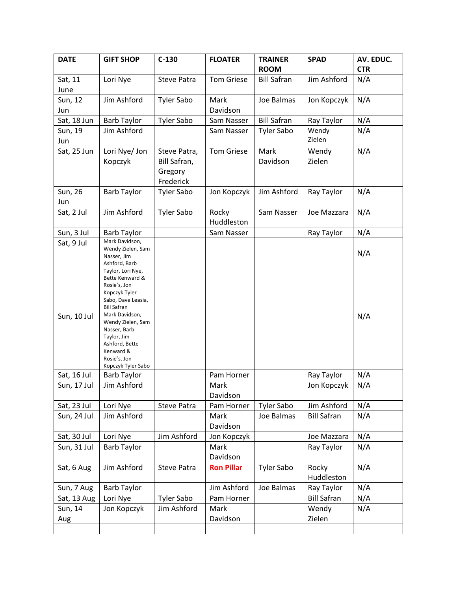| <b>DATE</b> | <b>GIFT SHOP</b>                         | $C-130$                        | <b>FLOATER</b>    | <b>TRAINER</b>     | <b>SPAD</b>        | AV. EDUC.  |
|-------------|------------------------------------------|--------------------------------|-------------------|--------------------|--------------------|------------|
|             |                                          |                                |                   | <b>ROOM</b>        |                    | <b>CTR</b> |
| Sat, 11     | Lori Nye                                 | <b>Steve Patra</b>             | <b>Tom Griese</b> | <b>Bill Safran</b> | Jim Ashford        | N/A        |
| June        |                                          |                                |                   |                    |                    |            |
| Sun, 12     | Jim Ashford                              | <b>Tyler Sabo</b>              | Mark              | Joe Balmas         | Jon Kopczyk        | N/A        |
| Jun         |                                          |                                | Davidson          |                    |                    |            |
| Sat, 18 Jun | <b>Barb Taylor</b>                       | <b>Tyler Sabo</b>              | Sam Nasser        | <b>Bill Safran</b> | Ray Taylor         | N/A        |
| Sun, 19     | Jim Ashford                              |                                | Sam Nasser        | <b>Tyler Sabo</b>  | Wendy              | N/A        |
| Jun         |                                          |                                |                   |                    | Zielen             |            |
| Sat, 25 Jun | Lori Nye/ Jon                            | Steve Patra,                   | <b>Tom Griese</b> | Mark               | Wendy              | N/A        |
|             | Kopczyk                                  | Bill Safran,                   |                   | Davidson           | Zielen             |            |
|             |                                          | Gregory                        |                   |                    |                    |            |
| Sun, 26     | <b>Barb Taylor</b>                       | Frederick<br><b>Tyler Sabo</b> | Jon Kopczyk       | Jim Ashford        | Ray Taylor         | N/A        |
| Jun         |                                          |                                |                   |                    |                    |            |
| Sat, 2 Jul  | Jim Ashford                              | <b>Tyler Sabo</b>              | Rocky             | Sam Nasser         | Joe Mazzara        | N/A        |
|             |                                          |                                | Huddleston        |                    |                    |            |
| Sun, 3 Jul  | <b>Barb Taylor</b>                       |                                | Sam Nasser        |                    | Ray Taylor         | N/A        |
| Sat, 9 Jul  | Mark Davidson,                           |                                |                   |                    |                    |            |
|             | Wendy Zielen, Sam<br>Nasser, Jim         |                                |                   |                    |                    | N/A        |
|             | Ashford, Barb                            |                                |                   |                    |                    |            |
|             | Taylor, Lori Nye,                        |                                |                   |                    |                    |            |
|             | Bette Kenward &<br>Rosie's, Jon          |                                |                   |                    |                    |            |
|             | Kopczyk Tyler                            |                                |                   |                    |                    |            |
|             | Sabo, Dave Leasia,<br><b>Bill Safran</b> |                                |                   |                    |                    |            |
| Sun, 10 Jul | Mark Davidson,                           |                                |                   |                    |                    | N/A        |
|             | Wendy Zielen, Sam<br>Nasser, Barb        |                                |                   |                    |                    |            |
|             | Taylor, Jim                              |                                |                   |                    |                    |            |
|             | Ashford, Bette<br>Kenward &              |                                |                   |                    |                    |            |
|             | Rosie's, Jon                             |                                |                   |                    |                    |            |
| Sat, 16 Jul | Kopczyk Tyler Sabo<br><b>Barb Taylor</b> |                                | Pam Horner        |                    | Ray Taylor         | N/A        |
| Sun, 17 Jul | Jim Ashford                              |                                | Mark              |                    | Jon Kopczyk        | N/A        |
|             |                                          |                                | Davidson          |                    |                    |            |
| Sat, 23 Jul | Lori Nye                                 | Steve Patra                    | Pam Horner        | <b>Tyler Sabo</b>  | Jim Ashford        | N/A        |
| Sun, 24 Jul | Jim Ashford                              |                                | Mark              | Joe Balmas         | <b>Bill Safran</b> | N/A        |
|             |                                          |                                | Davidson          |                    |                    |            |
| Sat, 30 Jul | Lori Nye                                 | Jim Ashford                    | Jon Kopczyk       |                    | Joe Mazzara        | N/A        |
| Sun, 31 Jul | <b>Barb Taylor</b>                       |                                | Mark              |                    | Ray Taylor         | N/A        |
|             |                                          |                                | Davidson          |                    |                    |            |
| Sat, 6 Aug  | Jim Ashford                              | Steve Patra                    | <b>Ron Pillar</b> | <b>Tyler Sabo</b>  | Rocky              | N/A        |
|             |                                          |                                |                   |                    | Huddleston         |            |
| Sun, 7 Aug  | <b>Barb Taylor</b>                       |                                | Jim Ashford       | Joe Balmas         | Ray Taylor         | N/A        |
| Sat, 13 Aug | Lori Nye                                 | <b>Tyler Sabo</b>              | Pam Horner        |                    | <b>Bill Safran</b> | N/A        |
| Sun, 14     | Jon Kopczyk                              | Jim Ashford                    | Mark              |                    | Wendy              | N/A        |
| Aug         |                                          |                                | Davidson          |                    | Zielen             |            |
|             |                                          |                                |                   |                    |                    |            |